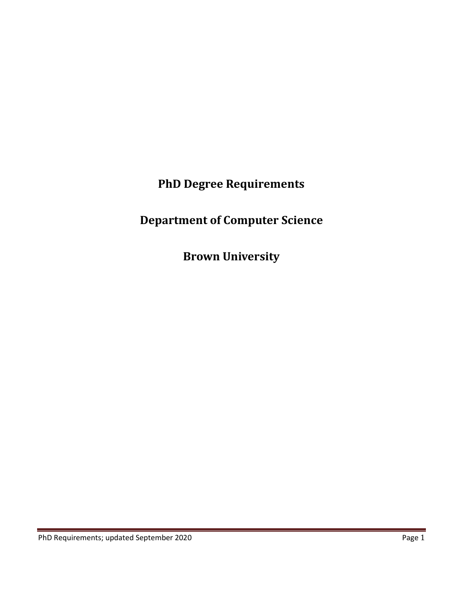**PhD Degree Requirements**

# **Department of Computer Science**

**Brown University**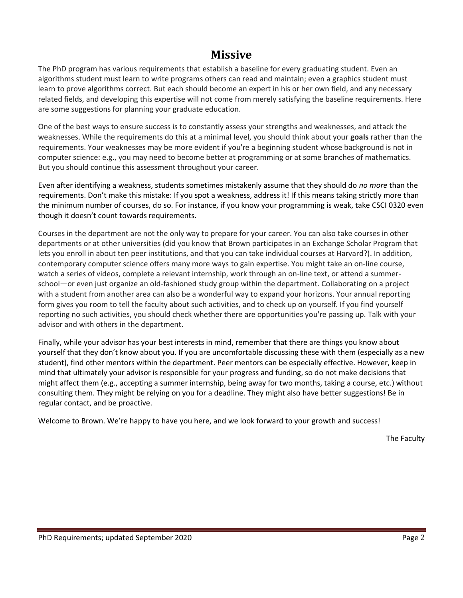### **Missive**

The PhD program has various requirements that establish a baseline for every graduating student. Even an algorithms student must learn to write programs others can read and maintain; even a graphics student must learn to prove algorithms correct. But each should become an expert in his or her own field, and any necessary related fields, and developing this expertise will not come from merely satisfying the baseline requirements. Here are some suggestions for planning your graduate education.

One of the best ways to ensure success is to constantly assess your strengths and weaknesses, and attack the weaknesses. While the requirements do this at a minimal level, you should think about your **goals** rather than the requirements. Your weaknesses may be more evident if you're a beginning student whose background is not in computer science: e.g., you may need to become better at programming or at some branches of mathematics. But you should continue this assessment throughout your career.

Even after identifying a weakness, students sometimes mistakenly assume that they should do *no more* than the requirements. Don't make this mistake: If you spot a weakness, address it! If this means taking strictly more than the minimum number of courses, do so. For instance, if you know your programming is weak, take CSCI 0320 even though it doesn't count towards requirements.

Courses in the department are not the only way to prepare for your career. You can also take courses in other departments or at other universities (did you know that Brown participates in an Exchange Scholar Program that lets you enroll in about ten peer institutions, and that you can take individual courses at Harvard?). In addition, contemporary computer science offers many more ways to gain expertise. You might take an on-line course, watch a series of videos, complete a relevant internship, work through an on-line text, or attend a summerschool—or even just organize an old-fashioned study group within the department. Collaborating on a project with a student from another area can also be a wonderful way to expand your horizons. Your annual reporting form gives you room to tell the faculty about such activities, and to check up on yourself. If you find yourself reporting no such activities, you should check whether there are opportunities you're passing up. Talk with your advisor and with others in the department.

Finally, while your advisor has your best interests in mind, remember that there are things you know about yourself that they don't know about you. If you are uncomfortable discussing these with them (especially as a new student), find other mentors within the department. Peer mentors can be especially effective. However, keep in mind that ultimately your advisor is responsible for your progress and funding, so do not make decisions that might affect them (e.g., accepting a summer internship, being away for two months, taking a course, etc.) without consulting them. They might be relying on you for a deadline. They might also have better suggestions! Be in regular contact, and be proactive.

Welcome to Brown. We're happy to have you here, and we look forward to your growth and success!

The Faculty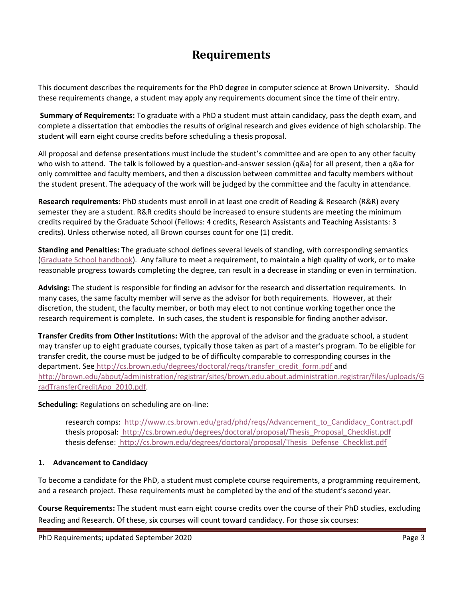## **Requirements**

This document describes the requirements for the PhD degree in computer science at Brown University. Should these requirements change, a student may apply any requirements document since the time of their entry.

**Summary of Requirements:** To graduate with a PhD a student must attain candidacy, pass the depth exam, and complete a dissertation that embodies the results of original research and gives evidence of high scholarship. The student will earn eight course credits before scheduling a thesis proposal.

All proposal and defense presentations must include the student's committee and are open to any other faculty who wish to attend. The talk is followed by a question-and-answer session (q&a) for all present, then a q&a for only committee and faculty members, and then a discussion between committee and faculty members without the student present. The adequacy of the work will be judged by the committee and the faculty in attendance.

**Research requirements:** PhD students must enroll in at least one credit of Reading & Research (R&R) every semester they are a student. R&R credits should be increased to ensure students are meeting the minimum credits required by the Graduate School (Fellows: 4 credits, Research Assistants and Teaching Assistants: 3 credits). Unless otherwise noted, all Brown courses count for one (1) credit.

**Standing and Penalties:** The graduate school defines several levels of standing, with corresponding semantics [\(Graduate School handbook\)](https://www.brown.edu/academics/gradschool/graduate-school-handbook). Any failure to meet a requirement, to maintain a high quality of work, or to make reasonable progress towards completing the degree, can result in a decrease in standing or even in termination.

**Advising:** The student is responsible for finding an advisor for the research and dissertation requirements. In many cases, the same faculty member will serve as the advisor for both requirements. However, at their discretion, the student, the faculty member, or both may elect to not continue working together once the research requirement is complete. In such cases, the student is responsible for finding another advisor.

**Transfer Credits from Other Institutions:** With the approval of the advisor and the graduate school, a student may transfer up to eight graduate courses, typically those taken as part of a master's program. To be eligible for transfer credit, the course must be judged to be of difficulty comparable to corresponding courses in the department. See [http://cs.brown.edu/degrees/doctoral/reqs/transfer\\_credit\\_form.pdf](https://drive.google.com/file/d/0B5nz4TN6oiUgNjBFMW1jSi0yZk0/view) an[d](http://brown.edu/about/administration/registrar/sites/brown.edu.about.administration.registrar/files/uploads/GradTransferCreditApp_2010.pdf) [http://brown.edu/about/administration/registrar/sites/brown.edu.about.administration.registrar/files/uploads/G](http://brown.edu/about/administration/registrar/sites/brown.edu.about.administration.registrar/files/uploads/GradTransferCreditApp_2010.pdf) [radTransferCreditApp\\_2010.pdf.](http://brown.edu/about/administration/registrar/sites/brown.edu.about.administration.registrar/files/uploads/GradTransferCreditApp_2010.pdf)

#### **Scheduling:** Regulations on scheduling are on-line:

research comps: [http://www.cs.brown.edu/grad/phd/reqs/Advancement\\_to\\_Candidacy\\_Contract.pdf](https://cs.brown.edu/media/filer_public/00/23/00233878-9c54-40d3-b534-5c5727c5c825/advancement_to_candidacy_contract.pdf) thesis proposal: [http://cs.brown.edu/degrees/doctoral/proposal/Thesis\\_Proposal\\_Checklist.pdf](http://cs.brown.edu/degrees/doctoral/proposal/Thesis_Proposal_Checklist.pdf) thesis defense: [http://cs.brown.edu/degrees/doctoral/proposal/Thesis\\_Defense\\_Checklist.pdf](http://cs.brown.edu/degrees/doctoral/proposal/Thesis_Defense_Checklist.pdf)

#### **1. Advancement to Candidacy**

To become a candidate for the PhD, a student must complete course requirements, a programming requirement, and a research project. These requirements must be completed by the end of the student's second year.

**Course Requirements:** The student must earn eight course credits over the course of their PhD studies, excluding Reading and Research. Of these, six courses will count toward candidacy. For those six courses: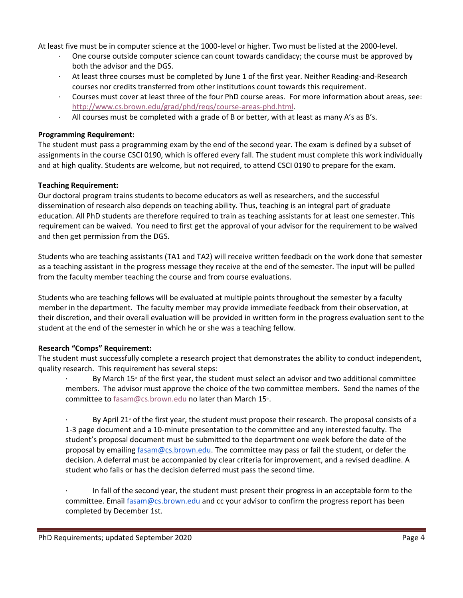At least five must be in computer science at the 1000-level or higher. Two must be listed at the 2000-level.

- One course outside computer science can count towards candidacy; the course must be approved by both the advisor and the DGS.
- · At least three courses must be completed by June 1 of the first year. Neither Reading-and-Research courses nor credits transferred from other institutions count towards this requirement.
- · Courses must cover at least three of the four PhD course areas. For more information about areas, see[:](http://www.cs.brown.edu/grad/phd/reqs/course-areas-phd.html) [http://www.cs.brown.edu/grad/phd/reqs/course-areas-phd.html.](http://www.cs.brown.edu/grad/phd/reqs/course-areas-phd.html)
- · All courses must be completed with a grade of B or better, with at least as many A's as B's.

#### **Programming Requirement:**

The student must pass a programming exam by the end of the second year. The exam is defined by a subset of assignments in the course CSCI 0190, which is offered every fall. The student must complete this work individually and at high quality. Students are welcome, but not required, to attend CSCI 0190 to prepare for the exam.

#### **Teaching Requirement:**

Our doctoral program trains students to become educators as well as researchers, and the successful dissemination of research also depends on teaching ability. Thus, teaching is an integral part of graduate education. All PhD students are therefore required to train as teaching assistants for at least one semester. This requirement can be waived. You need to first get the approval of your advisor for the requirement to be waived and then get permission from the DGS.

Students who are teaching assistants (TA1 and TA2) will receive written feedback on the work done that semester as a teaching assistant in the progress message they receive at the end of the semester. The input will be pulled from the faculty member teaching the course and from course evaluations.

Students who are teaching fellows will be evaluated at multiple points throughout the semester by a faculty member in the department. The faculty member may provide immediate feedback from their observation, at their discretion, and their overall evaluation will be provided in written form in the progress evaluation sent to the student at the end of the semester in which he or she was a teaching fellow.

#### **Research "Comps" Requirement:**

The student must successfully complete a research project that demonstrates the ability to conduct independent, quality research. This requirement has several steps:

By March  $15<sup>*</sup>$  of the first year, the student must select an advisor and two additional committee members. The advisor must approve the choice of the two committee members. Send the names of the committee to fasam@cs.brown.edu no later than March 15<sup>th</sup>.

By April 21<sup>s</sup> of the first year, the student must propose their research. The proposal consists of a 1-3 page document and a 10-minute presentation to the committee and any interested faculty. The student's proposal document must be submitted to the department one week before the date of the proposal by emailing [fasam@cs.brown.edu.](mailto:fasam@cs.brown.edu) The committee may pass or fail the student, or defer the decision. A deferral must be accompanied by clear criteria for improvement, and a revised deadline. A student who fails or has the decision deferred must pass the second time.

In fall of the second year, the student must present their progress in an acceptable form to the committee. Emai[l fasam@cs.brown.edu](mailto:fasam@cs.brown.edu) and cc your advisor to confirm the progress report has been completed by December 1st.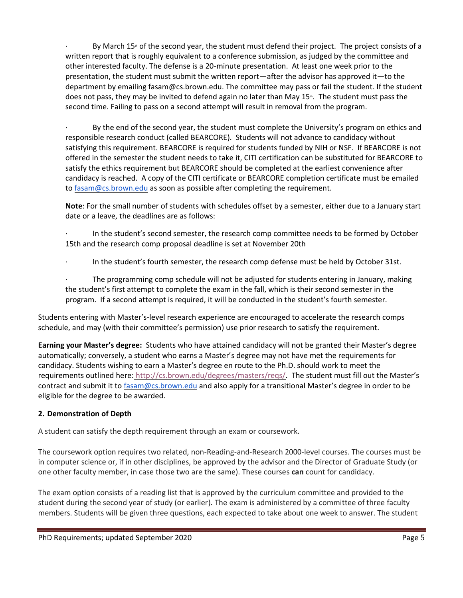By March 15<sup>th</sup> of the second year, the student must defend their project. The project consists of a written report that is roughly equivalent to a conference submission, as judged by the committee and other interested faculty. The defense is a 20-minute presentation. At least one week prior to the presentation, the student must submit the written report—after the advisor has approved it—to the department by emailing fasam@cs.brown.edu. The committee may pass or fail the student. If the student does not pass, they may be invited to defend again no later than May 15<sup>th</sup>. The student must pass the second time. Failing to pass on a second attempt will result in removal from the program.

By the end of the second year, the student must complete the University's program on ethics and responsible research conduct (called BEARCORE). Students will not advance to candidacy without satisfying this requirement. BEARCORE is required for students funded by NIH or NSF. If BEARCORE is not offered in the semester the student needs to take it, CITI certification can be substituted for BEARCORE to satisfy the ethics requirement but BEARCORE should be completed at the earliest convenience after candidacy is reached. A copy of the CITI certificate or BEARCORE completion certificate must be emailed t[o fasam@cs.brown.edu](mailto:fasam@cs.brown.edu) as soon as possible after completing the requirement.

**Note**: For the small number of students with schedules offset by a semester, either due to a January start date or a leave, the deadlines are as follows:

In the student's second semester, the research comp committee needs to be formed by October 15th and the research comp proposal deadline is set at November 20th

In the student's fourth semester, the research comp defense must be held by October 31st.

The programming comp schedule will not be adjusted for students entering in January, making the student's first attempt to complete the exam in the fall, which is their second semester in the program. If a second attempt is required, it will be conducted in the student's fourth semester.

Students entering with Master's-level research experience are encouraged to accelerate the research comps schedule, and may (with their committee's permission) use prior research to satisfy the requirement.

**Earning your Master's degree:** Students who have attained candidacy will not be granted their Master's degree automatically; conversely, a student who earns a Master's degree may not have met the requirements for candidacy. Students wishing to earn a Master's degree en route to the Ph.D. should work to meet the requirements outlined here: [http://cs.brown.edu/degrees/masters/reqs/.](http://cs.brown.edu/degrees/masters/reqs/) The student must fill out the Master's contract and submit it t[o fasam@cs.brown.edu](mailto:fasam@cs.brown.edu) and also apply for a transitional Master's degree in order to be eligible for the degree to be awarded.

#### **2. Demonstration of Depth**

A student can satisfy the depth requirement through an exam or coursework.

The coursework option requires two related, non-Reading-and-Research 2000-level courses. The courses must be in computer science or, if in other disciplines, be approved by the advisor and the Director of Graduate Study (or one other faculty member, in case those two are the same). These courses **can** count for candidacy.

The exam option consists of a reading list that is approved by the curriculum committee and provided to the student during the second year of study (or earlier). The exam is administered by a committee of three faculty members. Students will be given three questions, each expected to take about one week to answer. The student